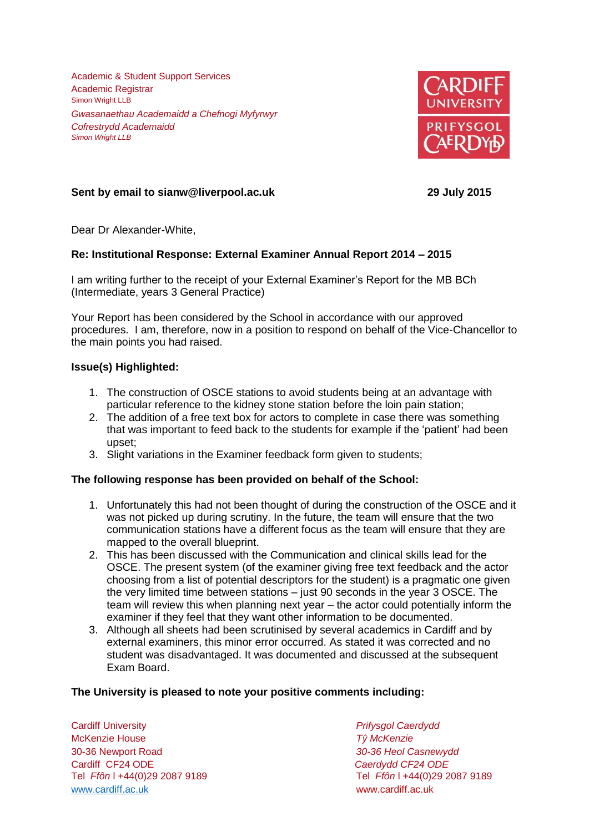Academic & Student Support Services Academic Registrar Simon Wright LLB *Gwasanaethau Academaidd a Chefnogi Myfyrwyr Cofrestrydd Academaidd Simon Wright LLB*



# **Sent by email to sianw@liverpool.ac.uk 29 July 2015**

Dear Dr Alexander-White,

## **Re: Institutional Response: External Examiner Annual Report 2014 – 2015**

I am writing further to the receipt of your External Examiner's Report for the MB BCh (Intermediate, years 3 General Practice)

Your Report has been considered by the School in accordance with our approved procedures. I am, therefore, now in a position to respond on behalf of the Vice-Chancellor to the main points you had raised.

### **Issue(s) Highlighted:**

- 1. The construction of OSCE stations to avoid students being at an advantage with particular reference to the kidney stone station before the loin pain station;
- 2. The addition of a free text box for actors to complete in case there was something that was important to feed back to the students for example if the 'patient' had been upset;
- 3. Slight variations in the Examiner feedback form given to students;

## **The following response has been provided on behalf of the School:**

- 1. Unfortunately this had not been thought of during the construction of the OSCE and it was not picked up during scrutiny. In the future, the team will ensure that the two communication stations have a different focus as the team will ensure that they are mapped to the overall blueprint.
- 2. This has been discussed with the Communication and clinical skills lead for the OSCE. The present system (of the examiner giving free text feedback and the actor choosing from a list of potential descriptors for the student) is a pragmatic one given the very limited time between stations – just 90 seconds in the year 3 OSCE. The team will review this when planning next year – the actor could potentially inform the examiner if they feel that they want other information to be documented.
- 3. Although all sheets had been scrutinised by several academics in Cardiff and by external examiners, this minor error occurred. As stated it was corrected and no student was disadvantaged. It was documented and discussed at the subsequent Exam Board.

## **The University is pleased to note your positive comments including:**

Cardiff University *Prifysgol Caerdydd* McKenzie House *Tŷ McKenzie* 30-36 Newport Road *30-36 Heol Casnewydd* Tel *Ffôn* l +44(0)29 2087 9189 Tel *Ffôn* l +44(0)29 2087 9189 [www.cardiff.ac.uk](http://www.cardiff.ac.uk/) www.cardiff.ac.uk

Cardiff CF24 ODE *Caerdydd CF24 ODE*